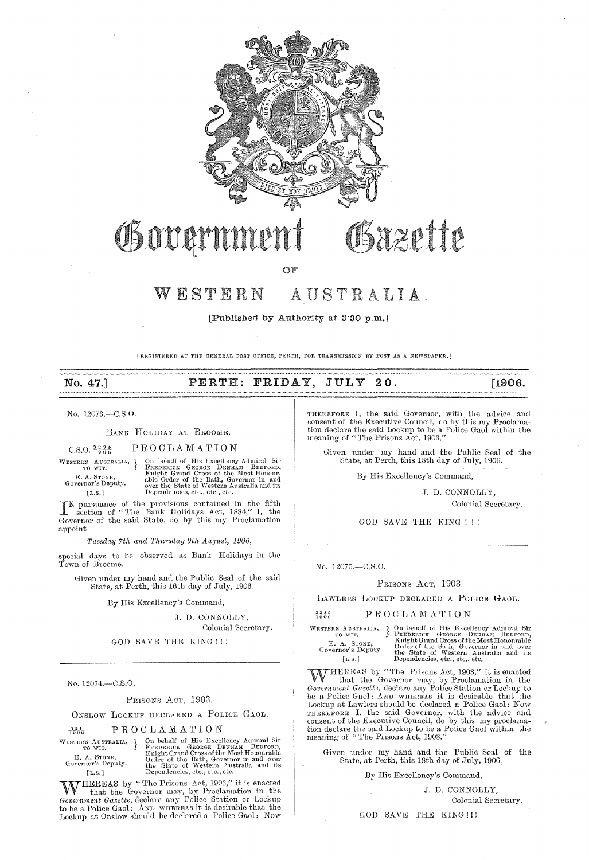

# Governmen

AUSTRALIA.  $W E S T E R N$ 

[Published by Authority at 3.30 p.m.]

[REGISTERED AT THE GENERAL POST OFFICE, PERTH, FOR TRANSMISSION BY POST AS A NEWSPAPER.]

### PERTH: FRIDAY, JULY 20.

No. 12073.-C.S.O.

No. 47.

#### BANK HOLIDAY AT BROOME.

PROCLAMATION  $C.S.O. \frac{3}{1} \frac{2}{9} \frac{9}{0} \frac{4}{6}$ 

WESTERN AUSTRALIA, TO WIT. E. A. STONE,<br>Governor's Deputy.  $[L.S.]$ 

On behalf of His Excellency Admiral Sir FREDERICE GEORGE DENHAM BEDFORD, Knight Grand Cross of the Most Honour-<br>able Order of the Bath, Governor in and over the State of Western Australia and its<br>Dependencies, etc., etc.,

IN pursuance of the provisions contained in the fifth section of "The Bank Holidays Act, 1884," I, the Governor of the said State, do by this my Proclamation appoint

Tuesday 7th and Thursday 9th August, 1906,

 $\,$  special days to be observed as Bank Holidays in the Town of Broome.

Given under my hand and the Public Seal of the said State, at Perth, this 16th day of July, 1906.

By His Excellency's Command,

J. D. CONNOLLY.

Colonial Secretary.

GOD SAVE THE KING!!!

No. 12074.-C.S.O.

PRISONS Acr, 1903.

ONSLOW LOCKUP DECLARED A POLICE GAOL.

PROCLAMATION  $\frac{121}{1900}$ 

WESTERN AUSTRALIA, }<br>TO WIT. E. A. STONE,<br>Governor's Deputy.  $[L, S.]$ 

On behalf of His Excellency Admiral Sir PREDERICK GEORGE DENHAM BEDFORD, Knight Grand Cross of the Bath, Governor in and over the State of Western Australia and its Dependencies, etc., etc., etc., etc.

WHEREAS by "The Prisons Act, 1903," it is enacted<br>forernment Gazette, declare any Police Station or Lockup The a Police Gaol: AND WHEREAS it is desirable that the Lockup at Onslow should be declared a Police Gaol: Now

THEREFORE I, the said Governor, with the advice and consent of the Executive Council, do by this my Proclamation declare the said Lockup to be a Police Gaol within the meaning of "The Prisons Act, 1903."

Bazette

Given under my hand and the Public Seal of the State, at Perth, this 18th day of July, 1906.

By His Excellency's Command,

J. D. CONNOLLY, Colonial Secretary.

للمستحدث والمناسبة

GOD SAVE THE KING !!!

No. 12075.-C.S.O.

PRISONS Acr, 1903.

LAWLERS LOCKUP DECLARED A POLICE GAOL.

#### PROCLAMATION  $3385$

WESTERN AUSTRALIA, <br/>) On behalf of His Excellency Admiral Sir TO WIT. Surger CHENERICK GEORGE DENHAM BEDFORD, E. A. STONE, Green Concerns and Covernor's Deputy. The State of Western Australia and its [L.S.]

WHEREAS by "The Prisons Act, 1903," it is enacted<br>that the Governor may, by Proclamation in the<br>Government Gazette, declare any Police Station or Lockup to be a Police Gaol: AND WHEREAS it is desirable that the Lockup at Lawlers should be declared a Police Gaol: Now<br>THEREFORE I, the said Governor, with the advice and<br>consent of the Executive Council, do by this my proclama-<br>tion declare the said Lockup to be a Police Gaol within

Given under my hand and the Public Seal of the State, at Perth, this 18th day of July, 1906,

By His Excellency's Command,

J. D. CONNOLLY, Colonial Secretary.

GOD SAVE THE KING !!!

[1906.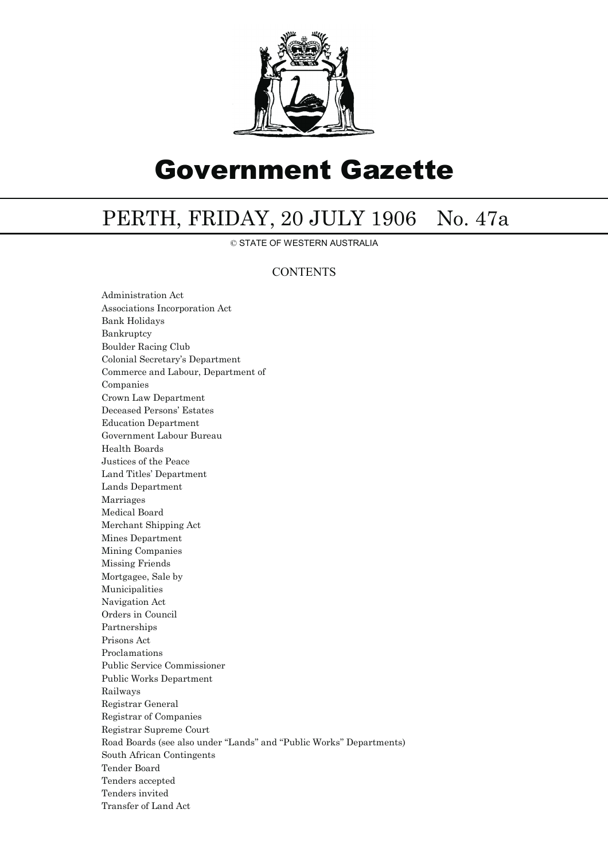

## Government Gazette

## PERTH, FRIDAY, 20 JULY 1906 No. 47a

© STATE OF WESTERN AUSTRALIA

### **CONTENTS**

Administration Act Associations Incorporation Act Bank Holidays Bankruptcy Boulder Racing Club Colonial Secretary's Department Commerce and Labour, Department of Companies Crown Law Department Deceased Persons' Estates Education Department Government Labour Bureau Health Boards Justices of the Peace Land Titles' Department Lands Department Marriages Medical Board Merchant Shipping Act Mines Department Mining Companies Missing Friends Mortgagee, Sale by Municipalities Navigation Act Orders in Council Partnerships Prisons Act Proclamations Public Service Commissioner Public Works Department Railways Registrar General Registrar of Companies Registrar Supreme Court Road Boards (see also under ''Lands'' and ''Public Works'' Departments) South African Contingents Tender Board Tenders accepted Tenders invited Transfer of Land Act